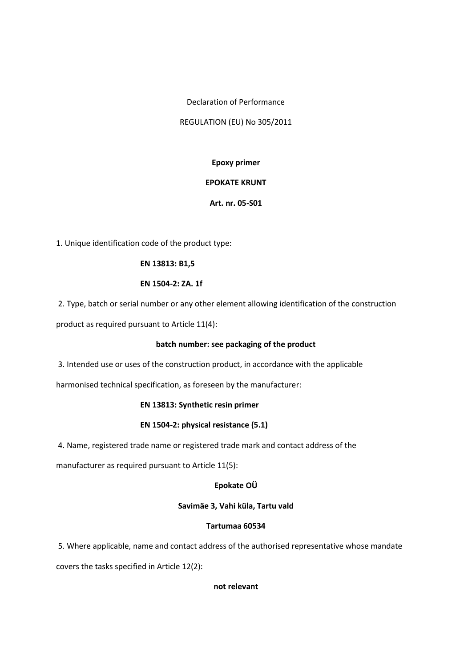Declaration of Performance

REGULATION (EU) No 305/2011

# **Epoxy primer**

## **EPOKATE KRUNT**

## **Art. nr. 05-S01**

1. Unique identification code of the product type:

## **EN 13813: B1,5**

## **EN 1504-2: ZA. 1f**

2. Type, batch or serial number or any other element allowing identification of the construction

product as required pursuant to Article 11(4):

# **batch number: see packaging of the product**

3. Intended use or uses of the construction product, in accordance with the applicable

harmonised technical specification, as foreseen by the manufacturer:

# **EN 13813: Synthetic resin primer**

# **EN 1504-2: physical resistance (5.1)**

4. Name, registered trade name or registered trade mark and contact address of the

manufacturer as required pursuant to Article 11(5):

# **Epokate OÜ**

### **Savimäe 3, Vahi küla, Tartu vald**

### **Tartumaa 60534**

5. Where applicable, name and contact address of the authorised representative whose mandate

covers the tasks specified in Article 12(2):

# **not relevant**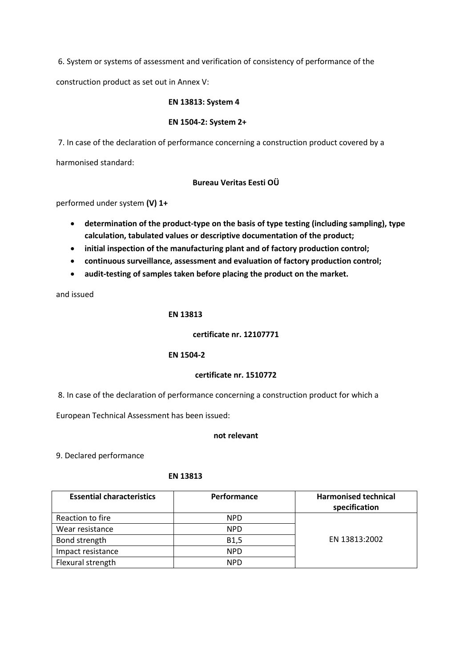6. System or systems of assessment and verification of consistency of performance of the

construction product as set out in Annex V:

### **EN 13813: System 4**

### **EN 1504-2: System 2+**

7. In case of the declaration of performance concerning a construction product covered by a

harmonised standard:

### **Bureau Veritas Eesti OÜ**

performed under system **(V) 1+**

- **determination of the product-type on the basis of type testing (including sampling), type calculation, tabulated values or descriptive documentation of the product;**
- **initial inspection of the manufacturing plant and of factory production control;**
- **continuous surveillance, assessment and evaluation of factory production control;**
- **audit-testing of samples taken before placing the product on the market.**

and issued

### **EN 13813**

#### **certificate nr. 12107771**

#### **EN 1504-2**

#### **certificate nr. 1510772**

8. In case of the declaration of performance concerning a construction product for which a

European Technical Assessment has been issued:

#### **not relevant**

9. Declared performance

#### **EN 13813**

| <b>Essential characteristics</b> | Performance       | <b>Harmonised technical</b><br>specification |
|----------------------------------|-------------------|----------------------------------------------|
| Reaction to fire                 | <b>NPD</b>        |                                              |
| Wear resistance                  | <b>NPD</b>        |                                              |
| Bond strength                    | B <sub>1</sub> ,5 | EN 13813:2002                                |
| Impact resistance                | <b>NPD</b>        |                                              |
| Flexural strength                | <b>NPD</b>        |                                              |